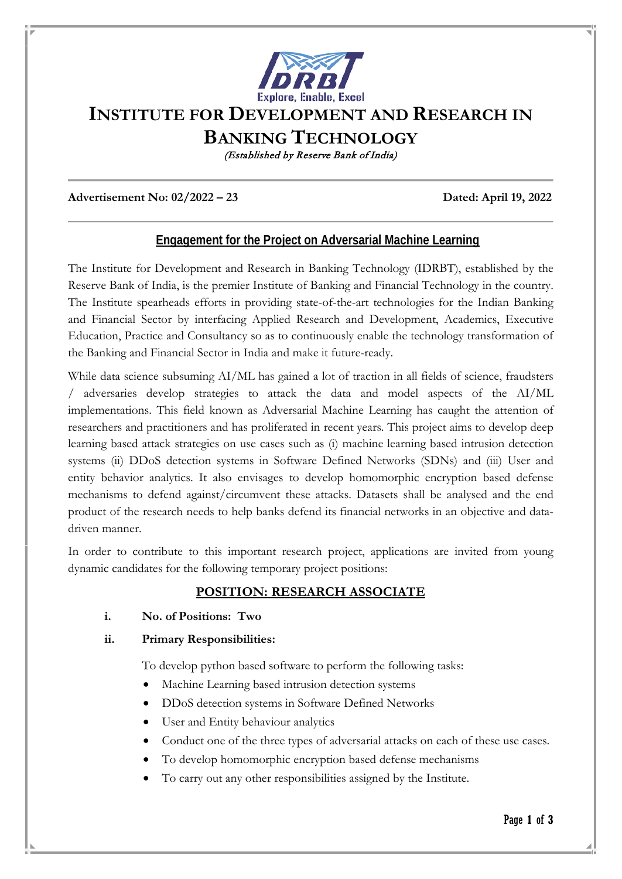

# **INSTITUTE FOR DEVELOPMENT AND RESEARCH IN**

**BANKING TECHNOLOGY**

(Established by Reserve Bank of India)

**Advertisement No: 02/2022 – 23 Dated: April 19, 2022** 

### **Engagement for the Project on Adversarial Machine Learning**

The Institute for Development and Research in Banking Technology (IDRBT), established by the Reserve Bank of India, is the premier Institute of Banking and Financial Technology in the country. The Institute spearheads efforts in providing state-of-the-art technologies for the Indian Banking and Financial Sector by interfacing Applied Research and Development, Academics, Executive Education, Practice and Consultancy so as to continuously enable the technology transformation of the Banking and Financial Sector in India and make it future-ready.

While data science subsuming AI/ML has gained a lot of traction in all fields of science, fraudsters / adversaries develop strategies to attack the data and model aspects of the AI/ML implementations. This field known as Adversarial Machine Learning has caught the attention of researchers and practitioners and has proliferated in recent years. This project aims to develop deep learning based attack strategies on use cases such as (i) machine learning based intrusion detection systems (ii) DDoS detection systems in Software Defined Networks (SDNs) and (iii) User and entity behavior analytics. It also envisages to develop homomorphic encryption based defense mechanisms to defend against/circumvent these attacks. Datasets shall be analysed and the end product of the research needs to help banks defend its financial networks in an objective and datadriven manner.

In order to contribute to this important research project, applications are invited from young dynamic candidates for the following temporary project positions:

### **POSITION: RESEARCH ASSOCIATE**

**i. No. of Positions: Two**

#### **ii. Primary Responsibilities:**

To develop python based software to perform the following tasks:

- Machine Learning based intrusion detection systems
- DDoS detection systems in Software Defined Networks
- User and Entity behaviour analytics
- Conduct one of the three types of adversarial attacks on each of these use cases.
- To develop homomorphic encryption based defense mechanisms
- To carry out any other responsibilities assigned by the Institute.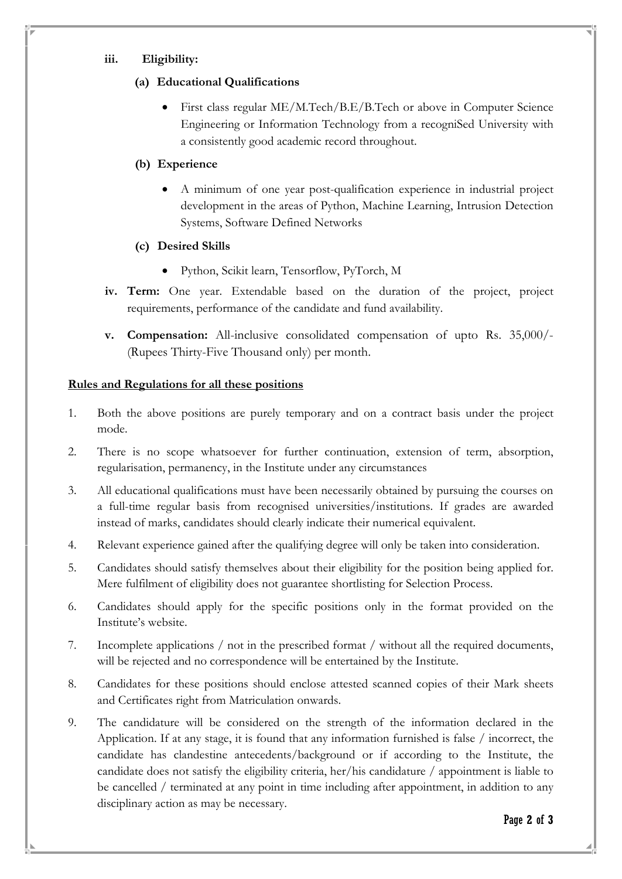#### **iii. Eligibility:**

## **(a) Educational Qualifications**

• First class regular ME/M.Tech/B.E/B.Tech or above in Computer Science Engineering or Information Technology from a recogniSed University with a consistently good academic record throughout.

## **(b) Experience**

• A minimum of one year post-qualification experience in industrial project development in the areas of Python, Machine Learning, Intrusion Detection Systems, Software Defined Networks

## **(c) Desired Skills**

- Python, Scikit learn, Tensorflow, PyTorch, M
- **iv. Term:** One year. Extendable based on the duration of the project, project requirements, performance of the candidate and fund availability.
- **v. Compensation:** All-inclusive consolidated compensation of upto Rs. 35,000/- (Rupees Thirty-Five Thousand only) per month.

### **Rules and Regulations for all these positions**

- 1. Both the above positions are purely temporary and on a contract basis under the project mode.
- 2. There is no scope whatsoever for further continuation, extension of term, absorption, regularisation, permanency, in the Institute under any circumstances
- 3. All educational qualifications must have been necessarily obtained by pursuing the courses on a full-time regular basis from recognised universities/institutions. If grades are awarded instead of marks, candidates should clearly indicate their numerical equivalent.
- 4. Relevant experience gained after the qualifying degree will only be taken into consideration.
- 5. Candidates should satisfy themselves about their eligibility for the position being applied for. Mere fulfilment of eligibility does not guarantee shortlisting for Selection Process.
- 6. Candidates should apply for the specific positions only in the format provided on the Institute's website.
- 7. Incomplete applications / not in the prescribed format / without all the required documents, will be rejected and no correspondence will be entertained by the Institute.
- 8. Candidates for these positions should enclose attested scanned copies of their Mark sheets and Certificates right from Matriculation onwards.
- 9. The candidature will be considered on the strength of the information declared in the Application. If at any stage, it is found that any information furnished is false / incorrect, the candidate has clandestine antecedents/background or if according to the Institute, the candidate does not satisfy the eligibility criteria, her/his candidature / appointment is liable to be cancelled / terminated at any point in time including after appointment, in addition to any disciplinary action as may be necessary.